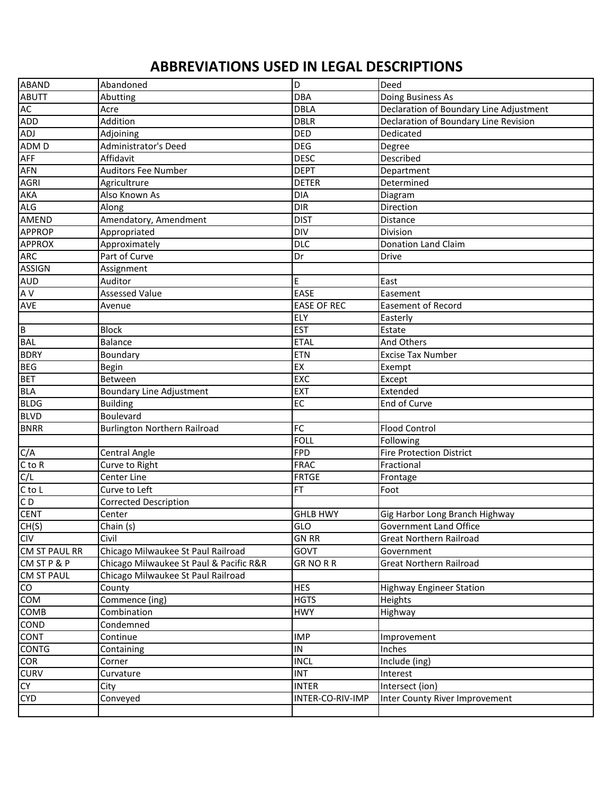## **ABBREVIATIONS USED IN LEGAL DESCRIPTIONS**

| <b>ABAND</b>           | Abandoned                               | la                 | Deed                                    |
|------------------------|-----------------------------------------|--------------------|-----------------------------------------|
| <b>ABUTT</b>           | Abutting                                | DBA                | Doing Business As                       |
| AC                     | Acre                                    | <b>DBLA</b>        | Declaration of Boundary Line Adjustment |
| ADD                    | Addition                                | <b>DBLR</b>        | Declaration of Boundary Line Revision   |
| ADJ                    | Adjoining                               | DED                | Dedicated                               |
| ADM D                  | Administrator's Deed                    | <b>DEG</b>         | Degree                                  |
| <b>AFF</b>             | Affidavit                               | <b>DESC</b>        | Described                               |
| <b>AFN</b>             | <b>Auditors Fee Number</b>              | <b>DEPT</b>        | Department                              |
| <b>AGRI</b>            | Agricultrure                            | <b>DETER</b>       | Determined                              |
| <b>AKA</b>             | Also Known As                           | <b>DIA</b>         | Diagram                                 |
| <b>ALG</b>             | Along                                   | <b>DIR</b>         | Direction                               |
| <b>AMEND</b>           | Amendatory, Amendment                   | <b>DIST</b>        | Distance                                |
| <b>APPROP</b>          | Appropriated                            | <b>DIV</b>         | Division                                |
| <b>APPROX</b>          | Approximately                           | <b>DLC</b>         | <b>Donation Land Claim</b>              |
| <b>ARC</b>             | Part of Curve                           | Dr                 | <b>Drive</b>                            |
| <b>ASSIGN</b>          | Assignment                              |                    |                                         |
| <b>AUD</b>             | Auditor                                 | E                  | East                                    |
| A V                    | <b>Assessed Value</b>                   | EASE               | Easement                                |
| <b>AVE</b>             | Avenue                                  | <b>EASE OF REC</b> | <b>Easement of Record</b>               |
|                        |                                         | <b>ELY</b>         | Easterly                                |
| $\overline{B}$         | <b>Block</b>                            | <b>EST</b>         | Estate                                  |
| <b>BAL</b>             | <b>Balance</b>                          | <b>ETAL</b>        | And Others                              |
| <b>BDRY</b>            | Boundary                                | <b>ETN</b>         | <b>Excise Tax Number</b>                |
| <b>BEG</b>             | Begin                                   | EX                 | Exempt                                  |
| <b>BET</b>             | Between                                 | EXC                | Except                                  |
| <b>BLA</b>             | <b>Boundary Line Adjustment</b>         | EXT                | Extended                                |
| <b>BLDG</b>            | <b>Building</b>                         | EC                 | End of Curve                            |
| <b>BLVD</b>            | Boulevard                               |                    |                                         |
| <b>BNRR</b>            | Burlington Northern Railroad            | FC                 | <b>Flood Control</b>                    |
|                        |                                         | FOLL               | Following                               |
| C/A                    | Central Angle                           | <b>FPD</b>         | <b>Fire Protection District</b>         |
| $C$ to $R$             | Curve to Right                          | <b>FRAC</b>        | Fractional                              |
| C/L                    | Center Line                             | <b>FRTGE</b>       | Frontage                                |
| $C$ to $L$             | Curve to Left                           | FT                 | Foot                                    |
| CD                     | <b>Corrected Description</b>            |                    |                                         |
| <b>CENT</b>            | Center                                  | <b>GHLB HWY</b>    | Gig Harbor Long Branch Highway          |
| CH(S)                  | Chain (s)                               | GLO                | Government Land Office                  |
| <b>CIV</b>             | Civil                                   | <b>GN RR</b>       | Great Northern Railroad                 |
| CM ST PAUL RR          | Chicago Milwaukee St Paul Railroad      | GOVT               | Government                              |
| CM ST P & P            | Chicago Milwaukee St Paul & Pacific R&R | <b>GRNORR</b>      | <b>Great Northern Railroad</b>          |
| <b>CM ST PAUL</b>      | Chicago Milwaukee St Paul Railroad      |                    |                                         |
| $\overline{\text{co}}$ | County                                  | <b>HES</b>         | <b>Highway Engineer Station</b>         |
| COM                    | Commence (ing)                          | <b>HGTS</b>        | Heights                                 |
| <b>COMB</b>            | Combination                             | <b>HWY</b>         | Highway                                 |
| <b>COND</b>            | Condemned                               |                    |                                         |
| <b>CONT</b>            | Continue                                | <b>IMP</b>         | Improvement                             |
| <b>CONTG</b>           | Containing                              | ${\sf IN}$         | Inches                                  |
| COR                    | Corner                                  | <b>INCL</b>        | Include (ing)                           |
| <b>CURV</b>            | Curvature                               | <b>INT</b>         | Interest                                |
| CY <sub>1</sub>        | City                                    | <b>INTER</b>       | Intersect (ion)                         |
| <b>CYD</b>             | Conveyed                                | INTER-CO-RIV-IMP   | Inter County River Improvement          |
|                        |                                         |                    |                                         |
|                        |                                         |                    |                                         |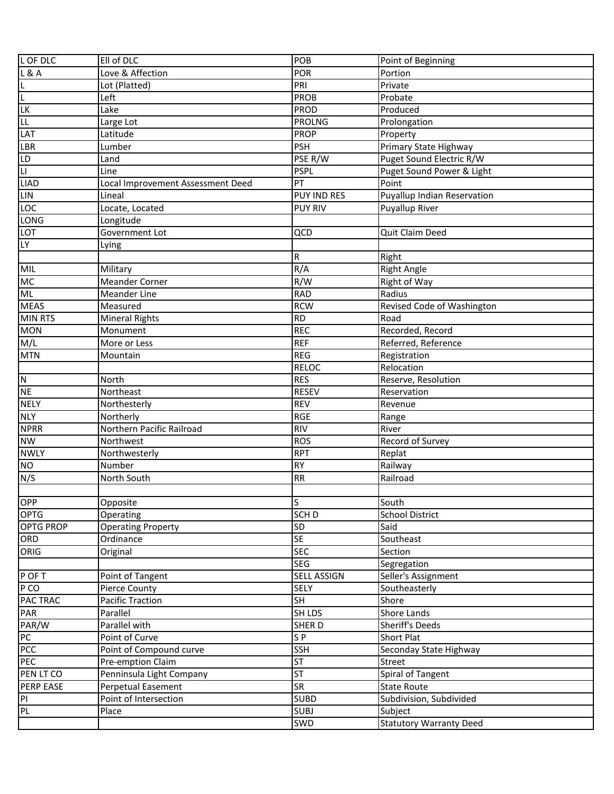| L OF DLC                | Ell of DLC                        | POB                | Point of Beginning                 |
|-------------------------|-----------------------------------|--------------------|------------------------------------|
| <b>L&amp;A</b>          | Love & Affection                  | <b>POR</b>         | Portion                            |
|                         | Lot (Platted)                     | PRI                | Private                            |
| $\frac{L}{L}$           | Left                              | PROB               | Probate                            |
| LK                      | Lake                              | PROD               | Produced                           |
| <b>LL</b>               | Large Lot                         | <b>PROLNG</b>      | Prolongation                       |
| LAT                     | Latitude                          | <b>PROP</b>        | Property                           |
| LBR                     | Lumber                            | <b>PSH</b>         | Primary State Highway              |
| <b>LD</b>               | Land                              | PSE R/W            | Puget Sound Electric R/W           |
| $\overline{\mathsf{L}}$ | Line                              | <b>PSPL</b>        | Puget Sound Power & Light          |
| <b>LIAD</b>             | Local Improvement Assessment Deed | PT                 | Point                              |
| <b>LIN</b>              | Lineal                            | <b>PUY IND RES</b> | <b>Puyallup Indian Reservation</b> |
| LOC                     | Locate, Located                   | <b>PUY RIV</b>     | Puyallup River                     |
| LONG                    | Longitude                         |                    |                                    |
| <b>LOT</b>              | Government Lot                    | QCD                | Quit Claim Deed                    |
| <b>LY</b>               | Lying                             |                    |                                    |
|                         |                                   | R                  | Right                              |
| <b>MIL</b>              | Military                          | R/A                | <b>Right Angle</b>                 |
| <b>MC</b>               | <b>Meander Corner</b>             | R/W                | Right of Way                       |
| ML                      | <b>Meander Line</b>               | <b>RAD</b>         | Radius                             |
| <b>MEAS</b>             | Measured                          | <b>RCW</b>         | Revised Code of Washington         |
| <b>MIN RTS</b>          | Mineral Rights                    | <b>RD</b>          | Road                               |
| <b>MON</b>              | Monument                          | <b>REC</b>         | Recorded, Record                   |
| M/L                     | More or Less                      | <b>REF</b>         | Referred, Reference                |
| <b>MTN</b>              | Mountain                          | <b>REG</b>         | Registration                       |
|                         |                                   | <b>RELOC</b>       | Relocation                         |
| $\overline{N}$          | North                             | <b>RES</b>         | Reserve, Resolution                |
| <b>NE</b>               | Northeast                         | <b>RESEV</b>       | Reservation                        |
| <b>NELY</b>             | Northesterly                      | <b>REV</b>         | Revenue                            |
| <b>NLY</b>              | Northerly                         | <b>RGE</b>         | Range                              |
| <b>NPRR</b>             | Northern Pacific Railroad         | <b>RIV</b>         | River                              |
| <b>NW</b>               | Northwest                         | <b>ROS</b>         | Record of Survey                   |
| <b>NWLY</b>             | Northwesterly                     | <b>RPT</b>         | Replat                             |
| <b>NO</b>               | Number                            | <b>RY</b>          | Railway                            |
| N/S                     | North South                       | <b>RR</b>          | Railroad                           |
|                         |                                   |                    |                                    |
| OPP                     | Opposite                          | S                  | South                              |
| OPTG                    | Operating                         | SCH <sub>D</sub>   | <b>School District</b>             |
| <b>OPTG PROP</b>        | <b>Operating Property</b>         | SD                 | Said                               |
| ORD                     | Ordinance                         | <b>SE</b>          | Southeast                          |
| ORIG                    | Original                          | <b>SEC</b>         | Section                            |
|                         |                                   | <b>SEG</b>         | Segregation                        |
| P OF T                  | Point of Tangent                  | <b>SELL ASSIGN</b> | Seller's Assignment                |
| P CO                    | Pierce County                     | <b>SELY</b>        | Southeasterly                      |
| <b>PAC TRAC</b>         | <b>Pacific Traction</b>           | Я                  | Shore                              |
| PAR                     | Parallel                          | <b>SH LDS</b>      | Shore Lands                        |
| PAR/W                   | Parallel with                     | <b>SHERD</b>       | Sheriff's Deeds                    |
| PC                      | Point of Curve                    | SP                 | Short Plat                         |
| PCC                     | Point of Compound curve           | <b>SSH</b>         | Seconday State Highway             |
| PEC                     | Pre-emption Claim                 | <b>ST</b>          | Street                             |
| PEN LT CO               | Penninsula Light Company          | <b>ST</b>          | Spiral of Tangent                  |
| PERP EASE               | Perpetual Easement                | <b>SR</b>          | <b>State Route</b>                 |
| PI                      | Point of Intersection             | <b>SUBD</b>        | Subdivision, Subdivided            |
| PL                      | Place                             | <b>SUBJ</b>        | Subject                            |
|                         |                                   | SWD                | <b>Statutory Warranty Deed</b>     |